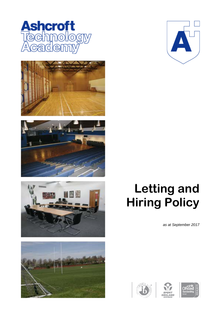











# **Letting and Hiring Policy**

*as at September 2017*





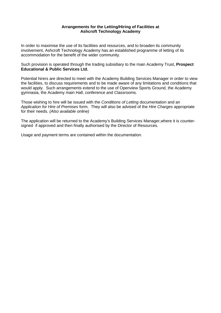## **Arrangements for the Letting/Hiring of Facilities at Ashcroft Technology Academy**

In order to maximise the use of its facilities and resources, and to broaden its community involvement, Ashcroft Technology Academy has an established programme of letting of its accommodation for the benefit of the wider community.

Such provision is operated through the trading subsidiary to the main Academy Trust, **Prospect Educational & Public Services Ltd.**

Potential hirers are directed to meet with the Academy Building Services Manager in order to view the facilities, to discuss requirements and to be made aware of any limitations and conditions that would apply. Such arrangements extend to the use of Openview Sports Ground, the Academy gymnasia, the Academy main Hall, conference and Classrooms.

Those wishing to hire will be issued with the *Conditions of Letting* documentation and an *Application for Hire of Premises* form. They will also be advised of the *Hire Charges* appropriate for their needs. *(Also available online)*

The application will be returned to the Academy's Building Services Manager,where it is countersigned if approved and then finally authorised by the Director of Resources.

Usage and payment terms are contained within the documentation.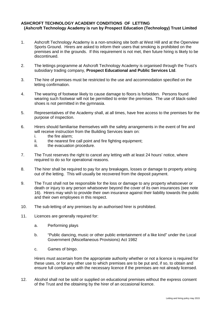## **ASHCROFT TECHNOLOGY ACADEMY CONDITIONS OF LETTING (Ashcroft Technology Academy is run by Prospect Education (Technology) Trust Limited**

- 1. Ashcroft Technology Academy is a non-smoking site both at West Hill and at the Openview Sports Ground. Hirers are asked to inform their users that smoking is prohibited on the premises and in the grounds. If this requirement is not met, then future hiring is likely to be discontinued.
- 2. The lettings programme at Ashcroft Technology Academy is organised through the Trust's subsidiary trading company, **Prospect Educational and Public Services Ltd**.
- 3. The hire of premises must be restricted to the use and accommodation specified on the letting confirmation.
- 4. The wearing of footwear likely to cause damage to floors is forbidden. Persons found wearing such footwear will not be permitted to enter the premises. The use of black-soled shoes is not permitted in the gymnasia.
- 5. Representatives of the Academy shall, at all times, have free access to the premises for the purpose of inspection.
- 6. Hirers should familiarise themselves with the safety arrangements in the event of fire and will receive instruction from the Building Services team on:<br>i. the fire alarm:
	- i. the fire alarm;<br>ii. the nearest fire
	- ii. the nearest fire call point and fire fighting equipment;<br>iii. the evacuation procedure.
	- the evacuation procedure.
- 7. The Trust reserves the right to cancel any letting with at least 24 hours' notice, where required to do so for operational reasons.
- 8. The hirer shall be required to pay for any breakages, losses or damage to property arising out of the letting. This will usually be recovered from the deposit payment.
- 9. The Trust shall not be responsible for the loss or damage to any property whatsoever or death or injury to any person whatsoever beyond the cover of its own insurances (see note 16). Hirers may wish to provide their own insurance against their liability towards the public and their own employees in this respect.
- 10. The sub-letting of any premises by an authorised hirer is prohibited.
- 11. Licences are generally required for:
	- a. Performing plays
	- b. "Public dancing, music or other public entertainment of a like kind" under the Local Government (Miscellaneous Provisions) Act 1982
	- c. Games of bingo.

Hirers must ascertain from the appropriate authority whether or not a licence is required for these uses, or for any other use to which premises are to be put and, if so, to obtain and ensure full compliance with the necessary licence if the premises are not already licensed.

12. Alcohol shall not be sold or supplied on educational premises without the express consent of the Trust and the obtaining by the hirer of an occasional licence.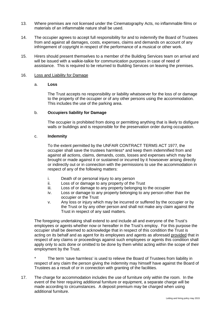- 13. Where premises are not licensed under the Cinematography Acts, no inflammable films or materials of an inflammable nature shall be used.
- 14. The occupier agrees to accept full responsibility for and to indemnify the Board of Trustees from and against all damages, costs, expenses, claims and demands on account of any infringement of copyright in respect of the performance of a musical or other work.
- 15. Hirers should present themselves to a member of the Building Services team on arrival and will be issued with a walkie-talkie for communication purposes in case of need of assistance. This is required to be returned to Building Services on leaving the premises.

#### 16. Loss and Liability for Damage

#### a. **Loss**

The Trust accepts no responsibility or liability whatsoever for the loss of or damage to the property of the occupier or of any other persons using the accommodation. This includes the use of the parking area.

#### b. **Occupiers liability for Damage**

The occupier is prohibited from doing or permitting anything that is likely to disfigure walls or buildings and is responsible for the preservation order during occupation.

#### c. **Indemnity**

To the extent permitted by the UNFAIR CONTRACT TERMS ACT 1977, the occupier shall save the trustees harmless\* and keep them indemnified from and against all actions, claims, demands, costs, losses and expenses which may be brought or made against it or sustained or incurred by it howsoever arising directly or indirectly out or in connection with the permissions to use the accommodation in respect of any of the following matters:

- i. Death of or personal injury to any person
- ii. Loss of or damage to any property of the Trust
- iii. Loss of or damage to any property belonging to the occupier
- iv. Loss or damage to any property belonging to any person other than the occupier or the Trust
- v. Any loss or injury which may be incurred or suffered by the occupier or by the Trust or by any other person and shall not make any claim against the Trust in respect of any said matters.

The foregoing undertaking shall extend to and include all and everyone of the Trust's employees or agents whether now or hereafter in the Trust's employ. For this purpose the occupier shall be deemed to acknowledge that in respect of this condition the Trust is acting on its behalf and as agent for its employees and agents as aforesaid provided that in respect of any claims or proceedings against such employees or agents this condition shall apply only to acts done or omitted to be done by them whilst acting within the scope of their employment by the Trust.

The term 'save harmless' is used to relieve the Board of Trustees from liability in respect of any claim the person giving the indemnity may himself have against the Board of Trustees as a result of or in connection with granting of the facilities.

17. The charge for accommodation includes the use of furniture only within the room. In the event of the hirer requiring additional furniture or equipment, a separate charge will be made according to circumstances. A deposit premium may be charged when using additional furniture.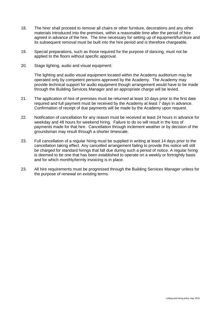- 18. The hirer shall proceed to remove all chairs or other furniture, decorations and any other materials introduced into the premises, within a reasonable time after the period of hire agreed in advance of the hire. The time necessary for setting up of equipment/furniture and its subsequent removal must be built into the hire period and is therefore chargeable.
- 19. Special preparations, such as those required for the purpose of dancing, must not be applied to the floors without specific approval.
- 20. Stage lighting, audio and visual equipment:

The lighting and audio visual equipment located within the Academy auditorium may be operated only by competent persons approved by the Academy. The Academy may provide technical support for audio equipment though arrangement would have to be made through the Building Services Manager and an appropriate charge will be levied.

- 21. The application of hire of premises must be returned at least 10 days prior to the first date required and full payment must be received by the Academy at least 7 days in advance. Confirmation of receipt of due payments will be made by the Academy upon request.
- 22. Notification of cancellation for any reason must be received at least 24 hours in advance for weekday and 48 hours for weekend hiring. Failure to do so will result in the loss of payments made for that hire. Cancellation through inclement weather or by decision of the groundsman may result through a shorter timescale.
- 23. Full cancellation of a regular hiring must be supplied in writing at least 14 days prior to the cancellation taking effect. Any cancelled arrangement failing to provide this notice will still be charged for standard hirings that fall due during such a period of notice. A regular hiring is deemed to be one that has been established to operate on a weekly or fortnightly basis and for which monthly/termly invoicing is in place.
- 23. All hire requirements must be progressed through the Building Services Manager unless for the purpose of renewal on existing terms.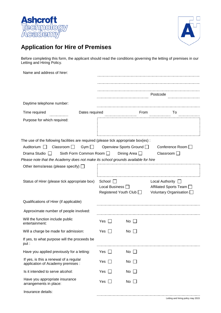



# **Application for Hire of Premises**

Before completing this form, the applicant should read the conditions governing the letting of premises in our Letting and Hiring Policy.

| Name and address of hirer:                                                                                                                                                                                                                                                                |                                                              |                                                |                                                                              |
|-------------------------------------------------------------------------------------------------------------------------------------------------------------------------------------------------------------------------------------------------------------------------------------------|--------------------------------------------------------------|------------------------------------------------|------------------------------------------------------------------------------|
|                                                                                                                                                                                                                                                                                           |                                                              |                                                | Postcode                                                                     |
| Daytime telephone number:                                                                                                                                                                                                                                                                 |                                                              |                                                |                                                                              |
| Time required<br>Dates required                                                                                                                                                                                                                                                           |                                                              | From                                           | To                                                                           |
| Purpose for which required:                                                                                                                                                                                                                                                               |                                                              |                                                |                                                                              |
| The use of the following facilities are required (please tick appropriate box(es):<br>Classroom $\Box$<br>Auditorium $\Box$<br>$Gym$ $\Box$<br>Drama Studio<br>Sixth Form Common Room<br>$\mathbf{1}$<br>Please note that the Academy does not make its school grounds available for hire |                                                              | Openview Sports Ground I<br>Dining Area $\Box$ | Conference Room $\Box$<br>Classroom $\Box$                                   |
| Other items/areas (please specify) $\Box$                                                                                                                                                                                                                                                 |                                                              |                                                |                                                                              |
| Status of Hirer (please tick appropriate box)                                                                                                                                                                                                                                             | School $\Box$<br>Local Business [<br>Registered Youth Club □ |                                                | Local Authority $\Box$<br>Affiliated Sports Team<br>Voluntary Organisation [ |
| Qualifications of Hirer (if applicable)                                                                                                                                                                                                                                                   |                                                              |                                                |                                                                              |
| Approximate number of people involved:                                                                                                                                                                                                                                                    |                                                              |                                                |                                                                              |
| Will the function include public<br>entertainment:                                                                                                                                                                                                                                        | Yes<br>$\mathbf{L}$                                          | $No \Box$                                      |                                                                              |
| Will a charge be made for admission:                                                                                                                                                                                                                                                      | Yes                                                          | No                                             |                                                                              |
| If yes, to what purpose will the proceeds be<br>put :                                                                                                                                                                                                                                     |                                                              |                                                |                                                                              |
| Have you applied previously for a letting:                                                                                                                                                                                                                                                | Yes<br>$\mathbf{L}$                                          | $No$ $\Box$                                    |                                                                              |
| If yes, is this a renewal of a regular<br>application of Academy premises :                                                                                                                                                                                                               | Yes<br>$\perp$                                               | No                                             |                                                                              |
| Is it intended to serve alcohol:                                                                                                                                                                                                                                                          | Yes<br>$\mathbf{L}$                                          | $No \ \Box$                                    |                                                                              |
| Have you appropriate insurance<br>arrangements in place:                                                                                                                                                                                                                                  | Yes<br>$\perp$                                               | $No$ $\Box$                                    |                                                                              |
| Insurance details:                                                                                                                                                                                                                                                                        |                                                              |                                                |                                                                              |